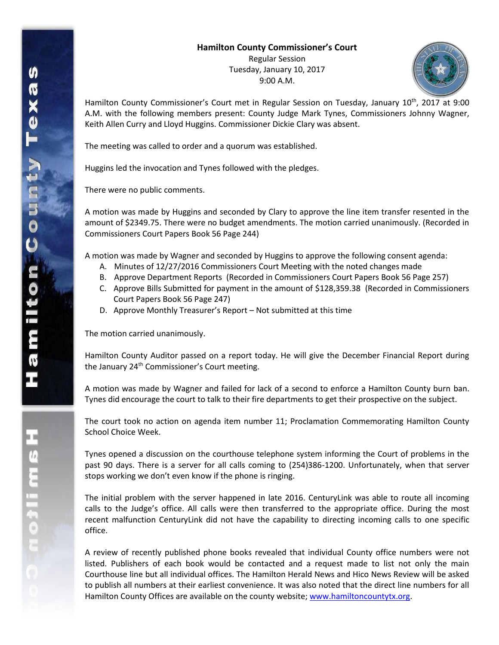## **Hamilton County Commissioner's Court**

Regular Session Tuesday, January 10, 2017 9:00 A.M.



Hamilton County Commissioner's Court met in Regular Session on Tuesday, January 10<sup>th</sup>, 2017 at 9:00 A.M. with the following members present: County Judge Mark Tynes, Commissioners Johnny Wagner, Keith Allen Curry and Lloyd Huggins. Commissioner Dickie Clary was absent.

The meeting was called to order and a quorum was established.

Huggins led the invocation and Tynes followed with the pledges.

There were no public comments.

A motion was made by Huggins and seconded by Clary to approve the line item transfer resented in the amount of \$2349.75. There were no budget amendments. The motion carried unanimously. (Recorded in Commissioners Court Papers Book 56 Page 244)

A motion was made by Wagner and seconded by Huggins to approve the following consent agenda:

- A. Minutes of 12/27/2016 Commissioners Court Meeting with the noted changes made
- B. Approve Department Reports (Recorded in Commissioners Court Papers Book 56 Page 257)
- C. Approve Bills Submitted for payment in the amount of \$128,359.38 (Recorded in Commissioners Court Papers Book 56 Page 247)
- D. Approve Monthly Treasurer's Report Not submitted at this time

The motion carried unanimously.

Hamilton County Auditor passed on a report today. He will give the December Financial Report during the January 24<sup>th</sup> Commissioner's Court meeting.

A motion was made by Wagner and failed for lack of a second to enforce a Hamilton County burn ban. Tynes did encourage the court to talk to their fire departments to get their prospective on the subject.

The court took no action on agenda item number 11; Proclamation Commemorating Hamilton County School Choice Week.

Tynes opened a discussion on the courthouse telephone system informing the Court of problems in the past 90 days. There is a server for all calls coming to (254)386-1200. Unfortunately, when that server stops working we don't even know if the phone is ringing.

The initial problem with the server happened in late 2016. CenturyLink was able to route all incoming calls to the Judge's office. All calls were then transferred to the appropriate office. During the most recent malfunction CenturyLink did not have the capability to directing incoming calls to one specific office.

A review of recently published phone books revealed that individual County office numbers were not listed. Publishers of each book would be contacted and a request made to list not only the main Courthouse line but all individual offices. The Hamilton Herald News and Hico News Review will be asked to publish all numbers at their earliest convenience. It was also noted that the direct line numbers for all Hamilton County Offices are available on the county website; [www.hamiltoncountytx.org.](http://www.hamiltoncountytx.org/)